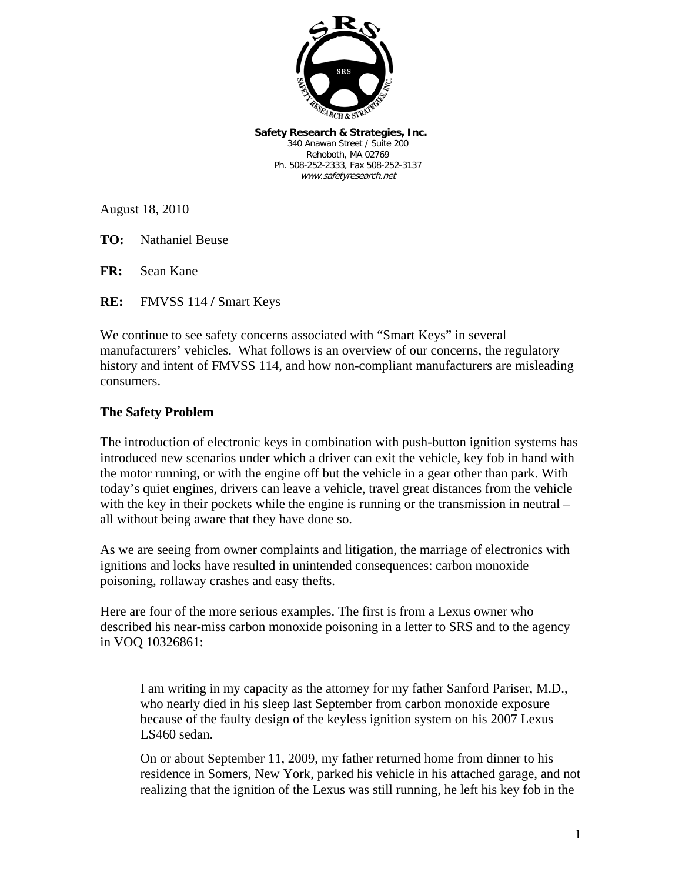

**Safety Research & Strategies, Inc.**  340 Anawan Street / Suite 200 Rehoboth, MA 02769 Ph. 508-252-2333, Fax 508-252-3137 www.safetyresearch.net

August 18, 2010

**TO:** Nathaniel Beuse

**FR:** Sean Kane

**RE:** FMVSS 114 **/** Smart Keys

We continue to see safety concerns associated with "Smart Keys" in several manufacturers' vehicles. What follows is an overview of our concerns, the regulatory history and intent of FMVSS 114, and how non-compliant manufacturers are misleading consumers.

### **The Safety Problem**

The introduction of electronic keys in combination with push-button ignition systems has introduced new scenarios under which a driver can exit the vehicle, key fob in hand with the motor running, or with the engine off but the vehicle in a gear other than park. With today's quiet engines, drivers can leave a vehicle, travel great distances from the vehicle with the key in their pockets while the engine is running or the transmission in neutral – all without being aware that they have done so.

As we are seeing from owner complaints and litigation, the marriage of electronics with ignitions and locks have resulted in unintended consequences: carbon monoxide poisoning, rollaway crashes and easy thefts.

Here are four of the more serious examples. The first is from a Lexus owner who described his near-miss carbon monoxide poisoning in a letter to SRS and to the agency in VOQ 10326861:

I am writing in my capacity as the attorney for my father Sanford Pariser, M.D., who nearly died in his sleep last September from carbon monoxide exposure because of the faulty design of the keyless ignition system on his 2007 Lexus LS460 sedan.

On or about September 11, 2009, my father returned home from dinner to his residence in Somers, New York, parked his vehicle in his attached garage, and not realizing that the ignition of the Lexus was still running, he left his key fob in the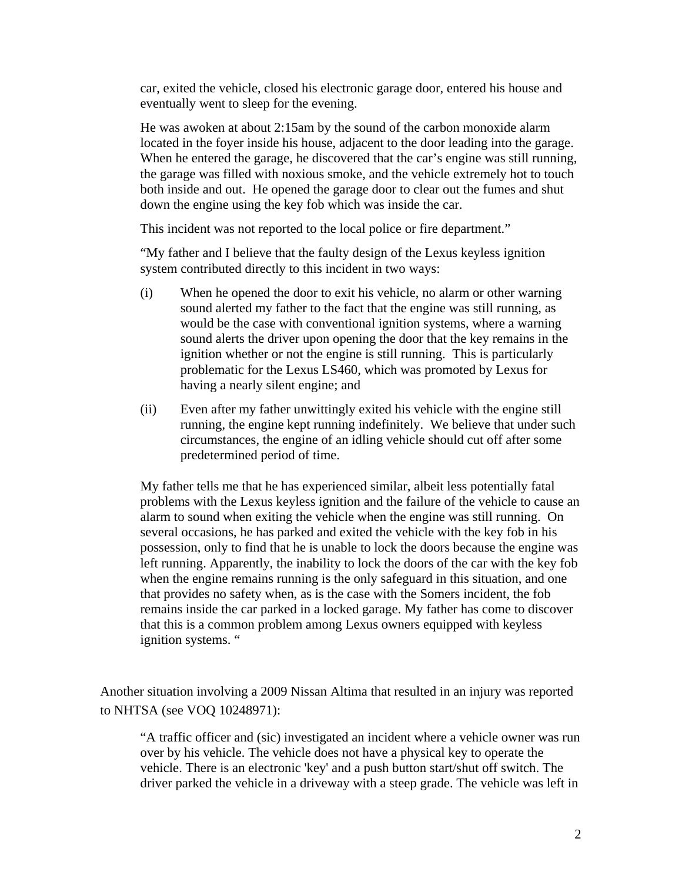car, exited the vehicle, closed his electronic garage door, entered his house and eventually went to sleep for the evening.

He was awoken at about 2:15am by the sound of the carbon monoxide alarm located in the foyer inside his house, adjacent to the door leading into the garage. When he entered the garage, he discovered that the car's engine was still running, the garage was filled with noxious smoke, and the vehicle extremely hot to touch both inside and out. He opened the garage door to clear out the fumes and shut down the engine using the key fob which was inside the car.

This incident was not reported to the local police or fire department."

"My father and I believe that the faulty design of the Lexus keyless ignition system contributed directly to this incident in two ways:

- (i) When he opened the door to exit his vehicle, no alarm or other warning sound alerted my father to the fact that the engine was still running, as would be the case with conventional ignition systems, where a warning sound alerts the driver upon opening the door that the key remains in the ignition whether or not the engine is still running. This is particularly problematic for the Lexus LS460, which was promoted by Lexus for having a nearly silent engine; and
- (ii) Even after my father unwittingly exited his vehicle with the engine still running, the engine kept running indefinitely. We believe that under such circumstances, the engine of an idling vehicle should cut off after some predetermined period of time.

My father tells me that he has experienced similar, albeit less potentially fatal problems with the Lexus keyless ignition and the failure of the vehicle to cause an alarm to sound when exiting the vehicle when the engine was still running. On several occasions, he has parked and exited the vehicle with the key fob in his possession, only to find that he is unable to lock the doors because the engine was left running. Apparently, the inability to lock the doors of the car with the key fob when the engine remains running is the only safeguard in this situation, and one that provides no safety when, as is the case with the Somers incident, the fob remains inside the car parked in a locked garage. My father has come to discover that this is a common problem among Lexus owners equipped with keyless ignition systems. "

Another situation involving a 2009 Nissan Altima that resulted in an injury was reported to NHTSA (see VOQ 10248971):

"A traffic officer and (sic) investigated an incident where a vehicle owner was run over by his vehicle. The vehicle does not have a physical key to operate the vehicle. There is an electronic 'key' and a push button start/shut off switch. The driver parked the vehicle in a driveway with a steep grade. The vehicle was left in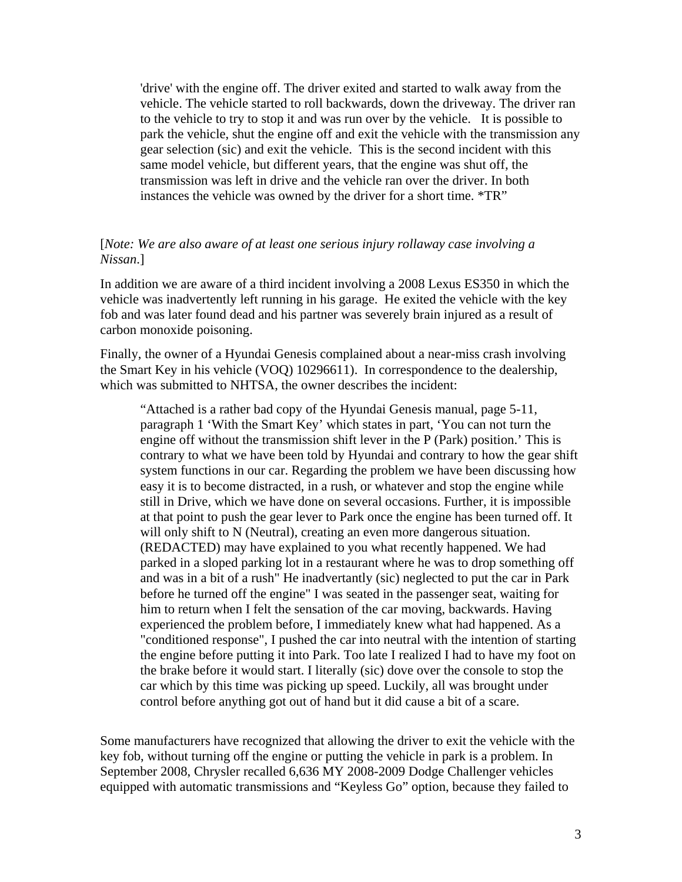'drive' with the engine off. The driver exited and started to walk away from the vehicle. The vehicle started to roll backwards, down the driveway. The driver ran to the vehicle to try to stop it and was run over by the vehicle. It is possible to park the vehicle, shut the engine off and exit the vehicle with the transmission any gear selection (sic) and exit the vehicle. This is the second incident with this same model vehicle, but different years, that the engine was shut off, the transmission was left in drive and the vehicle ran over the driver. In both instances the vehicle was owned by the driver for a short time. \*TR"

### [*Note: We are also aware of at least one serious injury rollaway case involving a Nissan*.]

In addition we are aware of a third incident involving a 2008 Lexus ES350 in which the vehicle was inadvertently left running in his garage. He exited the vehicle with the key fob and was later found dead and his partner was severely brain injured as a result of carbon monoxide poisoning.

Finally, the owner of a Hyundai Genesis complained about a near-miss crash involving the Smart Key in his vehicle (VOQ) 10296611). In correspondence to the dealership, which was submitted to NHTSA, the owner describes the incident:

"Attached is a rather bad copy of the Hyundai Genesis manual, page 5-11, paragraph 1 'With the Smart Key' which states in part, 'You can not turn the engine off without the transmission shift lever in the P (Park) position.' This is contrary to what we have been told by Hyundai and contrary to how the gear shift system functions in our car. Regarding the problem we have been discussing how easy it is to become distracted, in a rush, or whatever and stop the engine while still in Drive, which we have done on several occasions. Further, it is impossible at that point to push the gear lever to Park once the engine has been turned off. It will only shift to N (Neutral), creating an even more dangerous situation. (REDACTED) may have explained to you what recently happened. We had parked in a sloped parking lot in a restaurant where he was to drop something off and was in a bit of a rush" He inadvertantly (sic) neglected to put the car in Park before he turned off the engine" I was seated in the passenger seat, waiting for him to return when I felt the sensation of the car moving, backwards. Having experienced the problem before, I immediately knew what had happened. As a "conditioned response", I pushed the car into neutral with the intention of starting the engine before putting it into Park. Too late I realized I had to have my foot on the brake before it would start. I literally (sic) dove over the console to stop the car which by this time was picking up speed. Luckily, all was brought under control before anything got out of hand but it did cause a bit of a scare.

Some manufacturers have recognized that allowing the driver to exit the vehicle with the key fob, without turning off the engine or putting the vehicle in park is a problem. In September 2008, Chrysler recalled 6,636 MY 2008-2009 Dodge Challenger vehicles equipped with automatic transmissions and "Keyless Go" option, because they failed to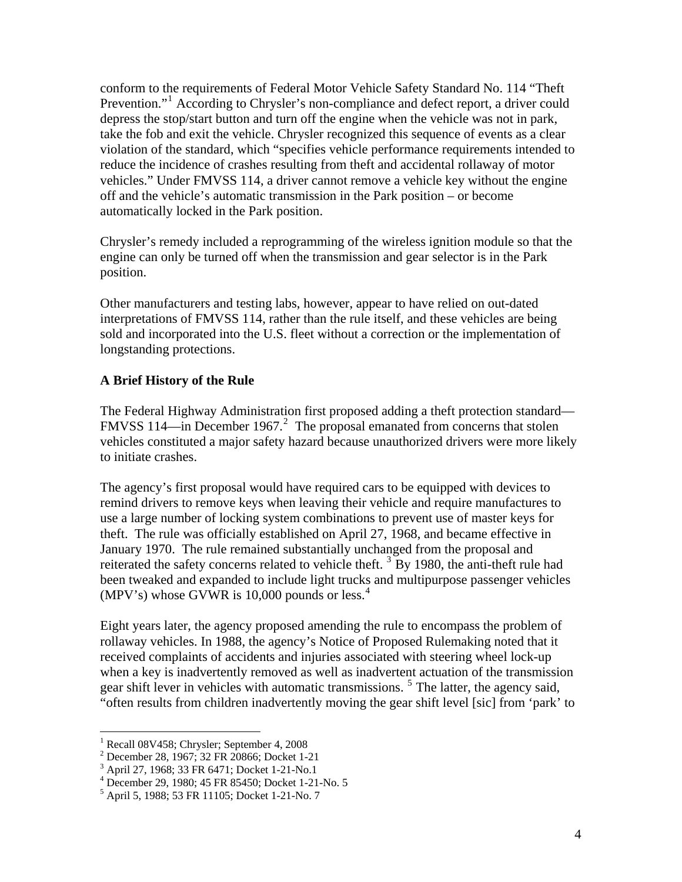conform to the requirements of Federal Motor Vehicle Safety Standard No. 114 "Theft Prevention."<sup>[1](#page-3-0)</sup> According to Chrysler's non-compliance and defect report, a driver could depress the stop/start button and turn off the engine when the vehicle was not in park, take the fob and exit the vehicle. Chrysler recognized this sequence of events as a clear violation of the standard, which "specifies vehicle performance requirements intended to reduce the incidence of crashes resulting from theft and accidental rollaway of motor vehicles." Under FMVSS 114, a driver cannot remove a vehicle key without the engine off and the vehicle's automatic transmission in the Park position – or become automatically locked in the Park position.

Chrysler's remedy included a reprogramming of the wireless ignition module so that the engine can only be turned off when the transmission and gear selector is in the Park position.

Other manufacturers and testing labs, however, appear to have relied on out-dated interpretations of FMVSS 114, rather than the rule itself, and these vehicles are being sold and incorporated into the U.S. fleet without a correction or the implementation of longstanding protections.

## **A Brief History of the Rule**

The Federal Highway Administration first proposed adding a theft protection standard— FMVSS 114—in December 1967.<sup>[2](#page-3-1)</sup> The proposal emanated from concerns that stolen vehicles constituted a major safety hazard because unauthorized drivers were more likely to initiate crashes.

The agency's first proposal would have required cars to be equipped with devices to remind drivers to remove keys when leaving their vehicle and require manufactures to use a large number of locking system combinations to prevent use of master keys for theft. The rule was officially established on April 27, 1968, and became effective in January 1970. The rule remained substantially unchanged from the proposal and reiterated the safety concerns related to vehicle theft.<sup>[3](#page-3-2)</sup> By 1980, the anti-theft rule had been tweaked and expanded to include light trucks and multipurpose passenger vehicles (MPV's) whose GVWR is 10,000 pounds or less.<sup>[4](#page-3-3)</sup>

Eight years later, the agency proposed amending the rule to encompass the problem of rollaway vehicles. In 1988, the agency's Notice of Proposed Rulemaking noted that it received complaints of accidents and injuries associated with steering wheel lock-up when a key is inadvertently removed as well as inadvertent actuation of the transmission gear shift lever in vehicles with automatic transmissions.<sup>[5](#page-3-4)</sup> The latter, the agency said, "often results from children inadvertently moving the gear shift level [sic] from 'park' to

<span id="page-3-0"></span><sup>1</sup> Recall 08V458; Chrysler; September 4, 2008

<sup>&</sup>lt;sup>2</sup> December 28, 1967; 32 FR 20866; Docket 1-21<br><sup>3</sup> April 27, 1068: 32 EP 6471; Docket 1-21 No. 1

<span id="page-3-2"></span><span id="page-3-1"></span>April 27, 1968; 33 FR 6471; Docket 1-21-No.1

<span id="page-3-3"></span> $^{4}$  December 29, 1980; 45 FR 85450; Docket 1-21-No. 5<br> $^{5}$  April 5, 1088: 52 EP 11105; Docket 1.21 No. 7

<span id="page-3-4"></span> $<sup>5</sup>$  April 5, 1988; 53 FR 11105; Docket 1-21-No. 7</sup>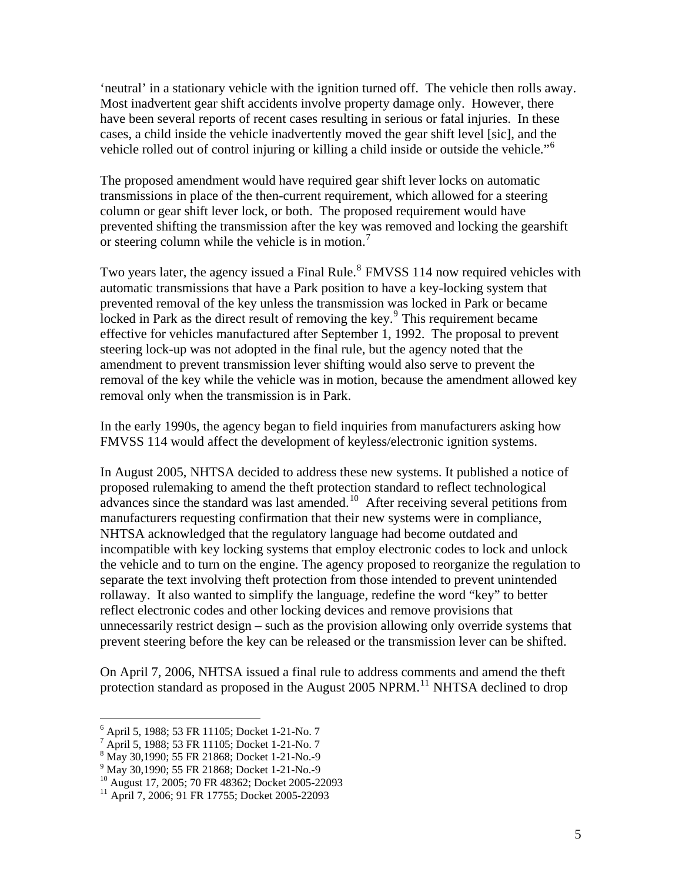'neutral' in a stationary vehicle with the ignition turned off. The vehicle then rolls away. Most inadvertent gear shift accidents involve property damage only. However, there have been several reports of recent cases resulting in serious or fatal injuries. In these cases, a child inside the vehicle inadvertently moved the gear shift level [sic], and the vehicle rolled out of control injuring or killing a child inside or outside the vehicle."[6](#page-4-0)

The proposed amendment would have required gear shift lever locks on automatic transmissions in place of the then-current requirement, which allowed for a steering column or gear shift lever lock, or both. The proposed requirement would have prevented shifting the transmission after the key was removed and locking the gearshift or steering column while the vehicle is in motion.<sup>[7](#page-4-1)</sup>

Two years later, the agency issued a Final Rule.<sup>[8](#page-4-2)</sup> FMVSS 114 now required vehicles with automatic transmissions that have a Park position to have a key-locking system that prevented removal of the key unless the transmission was locked in Park or became locked in Park as the direct result of removing the key.<sup>[9](#page-4-3)</sup> This requirement became effective for vehicles manufactured after September 1, 1992. The proposal to prevent steering lock-up was not adopted in the final rule, but the agency noted that the amendment to prevent transmission lever shifting would also serve to prevent the removal of the key while the vehicle was in motion, because the amendment allowed key removal only when the transmission is in Park.

In the early 1990s, the agency began to field inquiries from manufacturers asking how FMVSS 114 would affect the development of keyless/electronic ignition systems.

In August 2005, NHTSA decided to address these new systems. It published a notice of proposed rulemaking to amend the theft protection standard to reflect technological advances since the standard was last amended.<sup>[10](#page-4-4)</sup> After receiving several petitions from manufacturers requesting confirmation that their new systems were in compliance, NHTSA acknowledged that the regulatory language had become outdated and incompatible with key locking systems that employ electronic codes to lock and unlock the vehicle and to turn on the engine. The agency proposed to reorganize the regulation to separate the text involving theft protection from those intended to prevent unintended rollaway. It also wanted to simplify the language, redefine the word "key" to better reflect electronic codes and other locking devices and remove provisions that unnecessarily restrict design – such as the provision allowing only override systems that prevent steering before the key can be released or the transmission lever can be shifted.

On April 7, 2006, NHTSA issued a final rule to address comments and amend the theft protection standard as proposed in the August 2005 NPRM.<sup>[11](#page-4-5)</sup> NHTSA declined to drop

<span id="page-4-0"></span><sup>6</sup> April 5, 1988; 53 FR 11105; Docket 1-21-No. 7

<sup>&</sup>lt;sup>7</sup> April 5, 1988; 53 FR 11105; Docket 1-21-No. 7<sup>8</sup> May 20, 1000: 55 ED 21968; Docket 1.21 No. 0.

<span id="page-4-2"></span><span id="page-4-1"></span><sup>&</sup>lt;sup>8</sup> May 30,1990; 55 FR 21868; Docket 1-21-No.-9<br><sup>9</sup> May 30,1990; 55 FR 21868; Docket 1-21-No.-9

<span id="page-4-4"></span><span id="page-4-3"></span><sup>&</sup>lt;sup>10</sup> August 17, 2005; 70 FR 48362; Docket 2005-22093

<span id="page-4-5"></span><sup>&</sup>lt;sup>11</sup> April 7, 2006; 91 FR 17755; Docket 2005-22093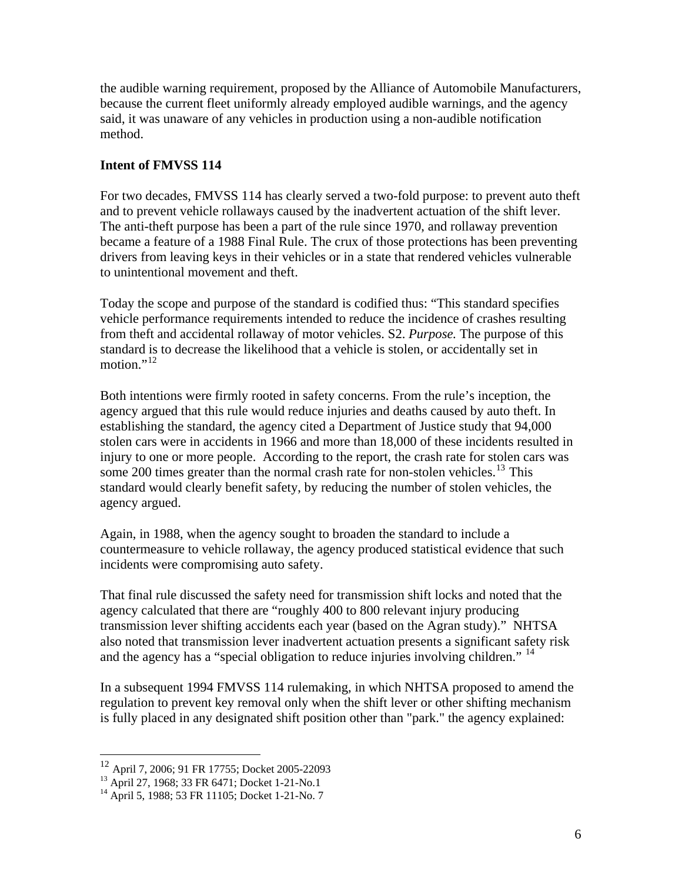the audible warning requirement, proposed by the Alliance of Automobile Manufacturers, because the current fleet uniformly already employed audible warnings, and the agency said, it was unaware of any vehicles in production using a non-audible notification method.

## **Intent of FMVSS 114**

For two decades, FMVSS 114 has clearly served a two-fold purpose: to prevent auto theft and to prevent vehicle rollaways caused by the inadvertent actuation of the shift lever. The anti-theft purpose has been a part of the rule since 1970, and rollaway prevention became a feature of a 1988 Final Rule. The crux of those protections has been preventing drivers from leaving keys in their vehicles or in a state that rendered vehicles vulnerable to unintentional movement and theft.

Today the scope and purpose of the standard is codified thus: "This standard specifies vehicle performance requirements intended to reduce the incidence of crashes resulting from theft and accidental rollaway of motor vehicles. S2. *Purpose.* The purpose of this standard is to decrease the likelihood that a vehicle is stolen, or accidentally set in motion." $^{12}$  $^{12}$  $^{12}$ 

Both intentions were firmly rooted in safety concerns. From the rule's inception, the agency argued that this rule would reduce injuries and deaths caused by auto theft. In establishing the standard, the agency cited a Department of Justice study that 94,000 stolen cars were in accidents in 1966 and more than 18,000 of these incidents resulted in injury to one or more people. According to the report, the crash rate for stolen cars was some 200 times greater than the normal crash rate for non-stolen vehicles.<sup>[13](#page-5-1)</sup> This standard would clearly benefit safety, by reducing the number of stolen vehicles, the agency argued.

Again, in 1988, when the agency sought to broaden the standard to include a countermeasure to vehicle rollaway, the agency produced statistical evidence that such incidents were compromising auto safety.

That final rule discussed the safety need for transmission shift locks and noted that the agency calculated that there are "roughly 400 to 800 relevant injury producing transmission lever shifting accidents each year (based on the Agran study)." NHTSA also noted that transmission lever inadvertent actuation presents a significant safety risk and the agency has a "special obligation to reduce injuries involving children." <sup>[14](#page-5-2)</sup>

In a subsequent 1994 FMVSS 114 rulemaking, in which NHTSA proposed to amend the regulation to prevent key removal only when the shift lever or other shifting mechanism is fully placed in any designated shift position other than "park." the agency explained:

1

<span id="page-5-0"></span><sup>12</sup> April 7, 2006; 91 FR 17755; Docket 2005-22093

<span id="page-5-1"></span><sup>&</sup>lt;sup>13</sup> April 27, 1968; 33 FR 6471; Docket 1-21-No.1

<span id="page-5-2"></span><sup>&</sup>lt;sup>14</sup> April 5, 1988; 53 FR 11105; Docket 1-21-No. 7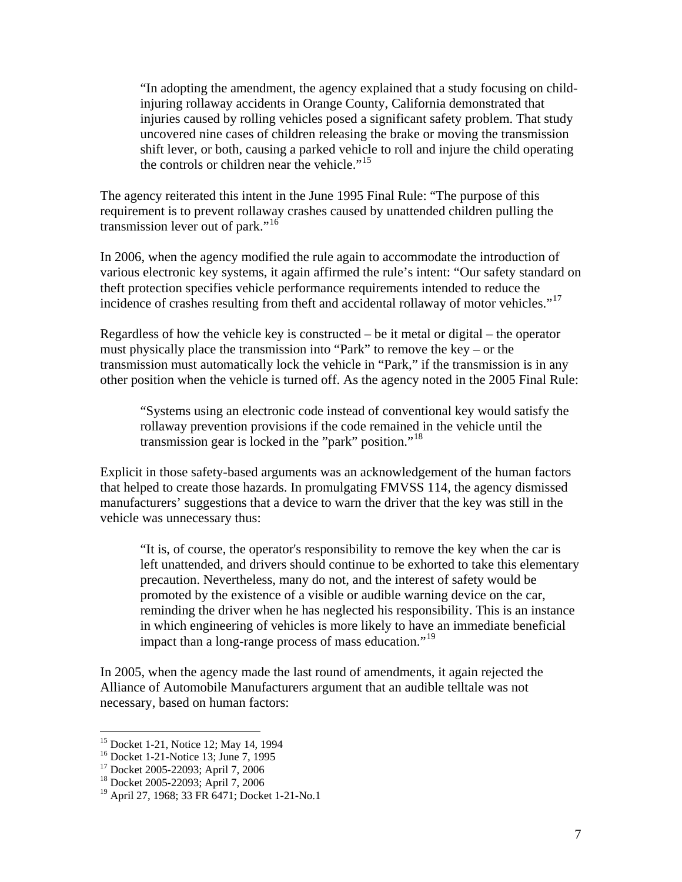"In adopting the amendment, the agency explained that a study focusing on childinjuring rollaway accidents in Orange County, California demonstrated that injuries caused by rolling vehicles posed a significant safety problem. That study uncovered nine cases of children releasing the brake or moving the transmission shift lever, or both, causing a parked vehicle to roll and injure the child operating the controls or children near the vehicle."<sup>[15](#page-6-0)</sup>

The agency reiterated this intent in the June 1995 Final Rule: "The purpose of this requirement is to prevent rollaway crashes caused by unattended children pulling the transmission lever out of park."<sup>[16](#page-6-1)</sup>

In 2006, when the agency modified the rule again to accommodate the introduction of various electronic key systems, it again affirmed the rule's intent: "Our safety standard on theft protection specifies vehicle performance requirements intended to reduce the incidence of crashes resulting from theft and accidental rollaway of motor vehicles."<sup>[17](#page-6-2)</sup>

Regardless of how the vehicle key is constructed – be it metal or digital – the operator must physically place the transmission into "Park" to remove the key – or the transmission must automatically lock the vehicle in "Park," if the transmission is in any other position when the vehicle is turned off. As the agency noted in the 2005 Final Rule:

"Systems using an electronic code instead of conventional key would satisfy the rollaway prevention provisions if the code remained in the vehicle until the transmission gear is locked in the "park" position."<sup>[18](#page-6-3)</sup>

Explicit in those safety-based arguments was an acknowledgement of the human factors that helped to create those hazards. In promulgating FMVSS 114, the agency dismissed manufacturers' suggestions that a device to warn the driver that the key was still in the vehicle was unnecessary thus:

"It is, of course, the operator's responsibility to remove the key when the car is left unattended, and drivers should continue to be exhorted to take this elementary precaution. Nevertheless, many do not, and the interest of safety would be promoted by the existence of a visible or audible warning device on the car, reminding the driver when he has neglected his responsibility. This is an instance in which engineering of vehicles is more likely to have an immediate beneficial impact than a long-range process of mass education."<sup>[19](#page-6-4)</sup>

In 2005, when the agency made the last round of amendments, it again rejected the Alliance of Automobile Manufacturers argument that an audible telltale was not necessary, based on human factors:

<sup>&</sup>lt;sup>15</sup> Docket 1-21, Notice 12; May 14, 1994

<span id="page-6-1"></span><span id="page-6-0"></span><sup>16</sup> Docket 1-21-Notice 13; June 7, 1995

<sup>17</sup> Docket 2005-22093; April 7, 2006

<span id="page-6-3"></span><span id="page-6-2"></span><sup>18</sup> Docket 2005-22093; April 7, 2006

<span id="page-6-4"></span><sup>19</sup> April 27, 1968; 33 FR 6471; Docket 1-21-No.1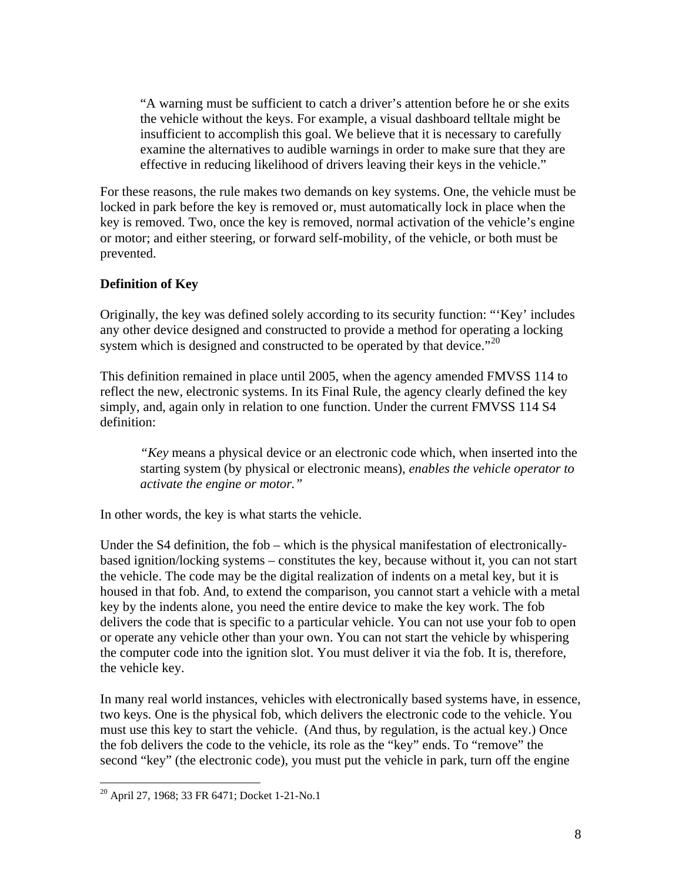"A warning must be sufficient to catch a driver's attention before he or she exits the vehicle without the keys. For example, a visual dashboard telltale might be insufficient to accomplish this goal. We believe that it is necessary to carefully examine the alternatives to audible warnings in order to make sure that they are effective in reducing likelihood of drivers leaving their keys in the vehicle."

For these reasons, the rule makes two demands on key systems. One, the vehicle must be locked in park before the key is removed or, must automatically lock in place when the key is removed. Two, once the key is removed, normal activation of the vehicle's engine or motor; and either steering, or forward self-mobility, of the vehicle, or both must be prevented.

#### **Definition of Key**

Originally, the key was defined solely according to its security function: "'Key' includes any other device designed and constructed to provide a method for operating a locking system which is designed and constructed to be operated by that device.<sup> $20$ </sup>

This definition remained in place until 2005, when the agency amended FMVSS 114 to reflect the new, electronic systems. In its Final Rule, the agency clearly defined the key simply, and, again only in relation to one function. Under the current FMVSS 114 S4 definition:

*"Key* means a physical device or an electronic code which, when inserted into the starting system (by physical or electronic means), *enables the vehicle operator to activate the engine or motor."* 

In other words, the key is what starts the vehicle.

Under the S4 definition, the fob – which is the physical manifestation of electronicallybased ignition/locking systems – constitutes the key, because without it, you can not start the vehicle. The code may be the digital realization of indents on a metal key, but it is housed in that fob. And, to extend the comparison, you cannot start a vehicle with a metal key by the indents alone, you need the entire device to make the key work. The fob delivers the code that is specific to a particular vehicle. You can not use your fob to open or operate any vehicle other than your own. You can not start the vehicle by whispering the computer code into the ignition slot. You must deliver it via the fob. It is, therefore, the vehicle key.

In many real world instances, vehicles with electronically based systems have, in essence, two keys. One is the physical fob, which delivers the electronic code to the vehicle. You must use this key to start the vehicle. (And thus, by regulation, is the actual key.) Once the fob delivers the code to the vehicle, its role as the "key" ends. To "remove" the second "key" (the electronic code), you must put the vehicle in park, turn off the engine

<u>.</u>

<span id="page-7-0"></span><sup>20</sup> April 27, 1968; 33 FR 6471; Docket 1-21-No.1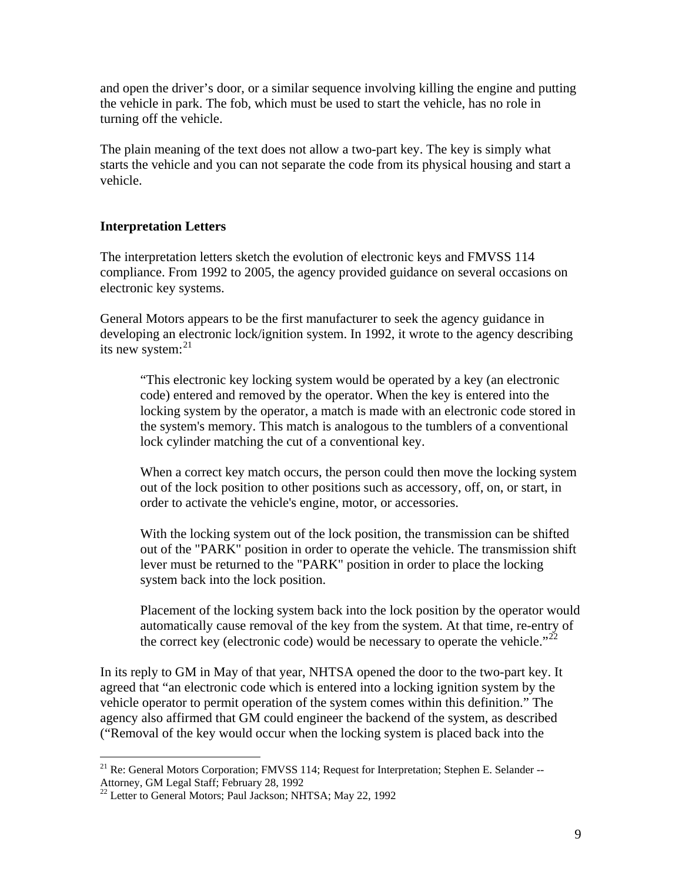and open the driver's door, or a similar sequence involving killing the engine and putting the vehicle in park. The fob, which must be used to start the vehicle, has no role in turning off the vehicle.

The plain meaning of the text does not allow a two-part key. The key is simply what starts the vehicle and you can not separate the code from its physical housing and start a vehicle.

# **Interpretation Letters**

The interpretation letters sketch the evolution of electronic keys and FMVSS 114 compliance. From 1992 to 2005, the agency provided guidance on several occasions on electronic key systems.

General Motors appears to be the first manufacturer to seek the agency guidance in developing an electronic lock/ignition system. In 1992, it wrote to the agency describing its new system: $^{21}$  $^{21}$  $^{21}$ 

"This electronic key locking system would be operated by a key (an electronic code) entered and removed by the operator. When the key is entered into the locking system by the operator, a match is made with an electronic code stored in the system's memory. This match is analogous to the tumblers of a conventional lock cylinder matching the cut of a conventional key.

When a correct key match occurs, the person could then move the locking system out of the lock position to other positions such as accessory, off, on, or start, in order to activate the vehicle's engine, motor, or accessories.

With the locking system out of the lock position, the transmission can be shifted out of the "PARK" position in order to operate the vehicle. The transmission shift lever must be returned to the "PARK" position in order to place the locking system back into the lock position.

Placement of the locking system back into the lock position by the operator would automatically cause removal of the key from the system. At that time, re-entry of the correct key (electronic code) would be necessary to operate the vehicle." $^{22}$  $^{22}$  $^{22}$ 

In its reply to GM in May of that year, NHTSA opened the door to the two-part key. It agreed that "an electronic code which is entered into a locking ignition system by the vehicle operator to permit operation of the system comes within this definition." The agency also affirmed that GM could engineer the backend of the system, as described ("Removal of the key would occur when the locking system is placed back into the

<span id="page-8-0"></span><sup>1</sup>  $^{21}$  Re: General Motors Corporation; FMVSS 114; Request for Interpretation; Stephen E. Selander --Attorney, GM Legal Staff; February 28, 1992

<span id="page-8-1"></span> $^{22}$  Letter to General Motors; Paul Jackson; NHTSA; May 22, 1992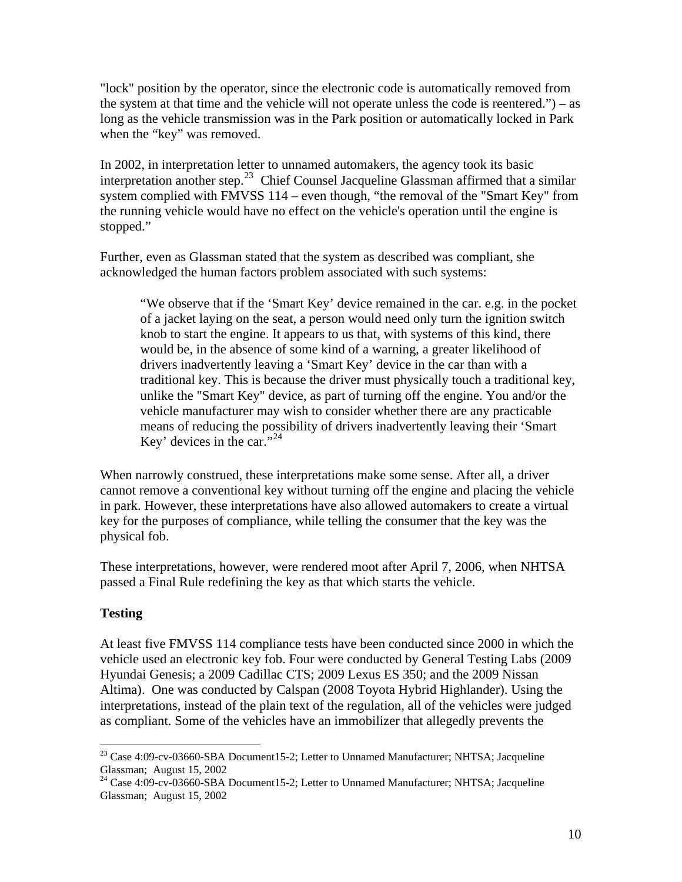"lock" position by the operator, since the electronic code is automatically removed from the system at that time and the vehicle will not operate unless the code is reentered.") – as long as the vehicle transmission was in the Park position or automatically locked in Park when the "key" was removed.

In 2002, in interpretation letter to unnamed automakers, the agency took its basic interpretation another step.<sup>[23](#page-9-0)</sup> Chief Counsel Jacqueline Glassman affirmed that a similar system complied with FMVSS 114 – even though, "the removal of the "Smart Key" from the running vehicle would have no effect on the vehicle's operation until the engine is stopped."

Further, even as Glassman stated that the system as described was compliant, she acknowledged the human factors problem associated with such systems:

"We observe that if the 'Smart Key' device remained in the car. e.g. in the pocket of a jacket laying on the seat, a person would need only turn the ignition switch knob to start the engine. It appears to us that, with systems of this kind, there would be, in the absence of some kind of a warning, a greater likelihood of drivers inadvertently leaving a 'Smart Key' device in the car than with a traditional key. This is because the driver must physically touch a traditional key, unlike the "Smart Key" device, as part of turning off the engine. You and/or the vehicle manufacturer may wish to consider whether there are any practicable means of reducing the possibility of drivers inadvertently leaving their 'Smart Key' devices in the car."<sup>[24](#page-9-1)</sup>

When narrowly construed, these interpretations make some sense. After all, a driver cannot remove a conventional key without turning off the engine and placing the vehicle in park. However, these interpretations have also allowed automakers to create a virtual key for the purposes of compliance, while telling the consumer that the key was the physical fob.

These interpretations, however, were rendered moot after April 7, 2006, when NHTSA passed a Final Rule redefining the key as that which starts the vehicle.

# **Testing**

 $\overline{a}$ 

At least five FMVSS 114 compliance tests have been conducted since 2000 in which the vehicle used an electronic key fob. Four were conducted by General Testing Labs (2009 Hyundai Genesis; a 2009 Cadillac CTS; 2009 Lexus ES 350; and the 2009 Nissan Altima). One was conducted by Calspan (2008 Toyota Hybrid Highlander). Using the interpretations, instead of the plain text of the regulation, all of the vehicles were judged as compliant. Some of the vehicles have an immobilizer that allegedly prevents the

<span id="page-9-0"></span> $^{23}$  Case 4:09-cv-03660-SBA Document15-2; Letter to Unnamed Manufacturer; NHTSA; Jacqueline Glassman; August 15, 2002

<span id="page-9-1"></span><sup>&</sup>lt;sup>24</sup> Case 4:09-cv-03660-SBA Document15-2; Letter to Unnamed Manufacturer; NHTSA; Jacqueline Glassman; August 15, 2002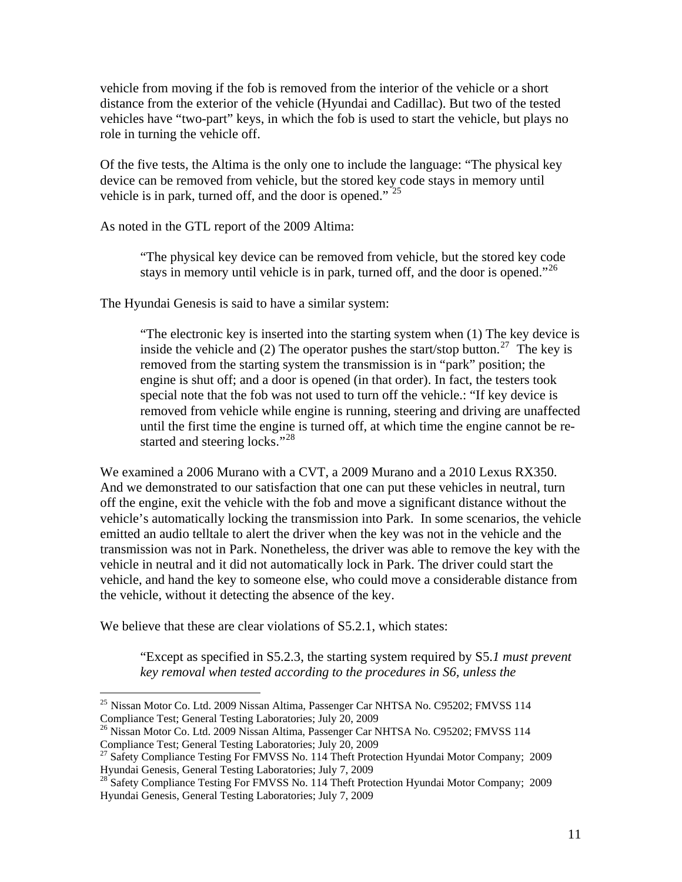vehicle from moving if the fob is removed from the interior of the vehicle or a short distance from the exterior of the vehicle (Hyundai and Cadillac). But two of the tested vehicles have "two-part" keys, in which the fob is used to start the vehicle, but plays no role in turning the vehicle off.

Of the five tests, the Altima is the only one to include the language: "The physical key device can be removed from vehicle, but the stored key code stays in memory until vehicle is in park, turned off, and the door is opened."<sup>[25](#page-10-0)</sup>

As noted in the GTL report of the 2009 Altima:

"The physical key device can be removed from vehicle, but the stored key code stays in memory until vehicle is in park, turned off, and the door is opened."<sup>[26](#page-10-1)</sup>

The Hyundai Genesis is said to have a similar system:

"The electronic key is inserted into the starting system when (1) The key device is inside the vehicle and (2) The operator pushes the start/stop button.<sup>[27](#page-10-2)</sup> The key is removed from the starting system the transmission is in "park" position; the engine is shut off; and a door is opened (in that order). In fact, the testers took special note that the fob was not used to turn off the vehicle.: "If key device is removed from vehicle while engine is running, steering and driving are unaffected until the first time the engine is turned off, at which time the engine cannot be re-started and steering locks."<sup>[28](#page-10-3)</sup>

We examined a 2006 Murano with a CVT, a 2009 Murano and a 2010 Lexus RX350. And we demonstrated to our satisfaction that one can put these vehicles in neutral, turn off the engine, exit the vehicle with the fob and move a significant distance without the vehicle's automatically locking the transmission into Park. In some scenarios, the vehicle emitted an audio telltale to alert the driver when the key was not in the vehicle and the transmission was not in Park. Nonetheless, the driver was able to remove the key with the vehicle in neutral and it did not automatically lock in Park. The driver could start the vehicle, and hand the key to someone else, who could move a considerable distance from the vehicle, without it detecting the absence of the key.

We believe that these are clear violations of  $S5.2.1$ , which states:

 $\overline{a}$ 

"Except as specified in S5.2.3, the starting system required by S5.*1 must prevent key removal when tested according to the procedures in S6, unless the* 

<span id="page-10-0"></span><sup>&</sup>lt;sup>25</sup> Nissan Motor Co. Ltd. 2009 Nissan Altima, Passenger Car NHTSA No. C95202; FMVSS 114 Compliance Test; General Testing Laboratories; July 20, 2009

<span id="page-10-1"></span><sup>&</sup>lt;sup>26</sup> Nissan Motor Co. Ltd. 2009 Nissan Altima, Passenger Car NHTSA No. C95202; FMVSS 114 Compliance Test; General Testing Laboratories; July 20, 2009

<span id="page-10-2"></span><sup>&</sup>lt;sup>27</sup> Safety Compliance Testing For FMVSS No. 114 Theft Protection Hyundai Motor Company; 2009 Hyundai Genesis, General Testing Laboratories; July 7, 2009

<span id="page-10-3"></span><sup>&</sup>lt;sup>28</sup> Safety Compliance Testing For FMVSS No. 114 Theft Protection Hyundai Motor Company; 2009 Hyundai Genesis, General Testing Laboratories; July 7, 2009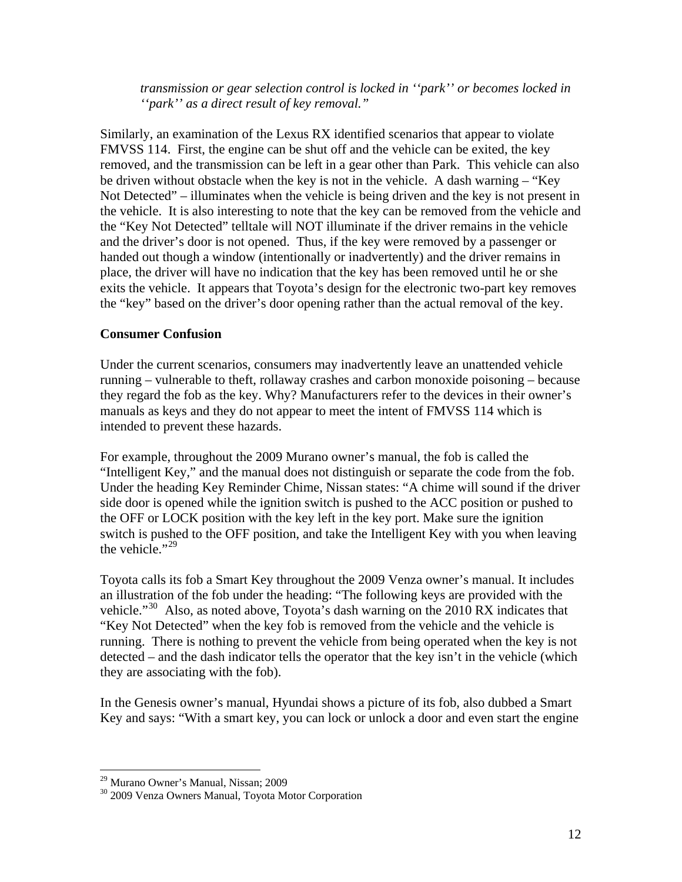*transmission or gear selection control is locked in ''park'' or becomes locked in ''park'' as a direct result of key removal."* 

Similarly, an examination of the Lexus RX identified scenarios that appear to violate FMVSS 114. First, the engine can be shut off and the vehicle can be exited, the key removed, and the transmission can be left in a gear other than Park. This vehicle can also be driven without obstacle when the key is not in the vehicle. A dash warning – "Key Not Detected" – illuminates when the vehicle is being driven and the key is not present in the vehicle. It is also interesting to note that the key can be removed from the vehicle and the "Key Not Detected" telltale will NOT illuminate if the driver remains in the vehicle and the driver's door is not opened. Thus, if the key were removed by a passenger or handed out though a window (intentionally or inadvertently) and the driver remains in place, the driver will have no indication that the key has been removed until he or she exits the vehicle. It appears that Toyota's design for the electronic two-part key removes the "key" based on the driver's door opening rather than the actual removal of the key.

## **Consumer Confusion**

Under the current scenarios, consumers may inadvertently leave an unattended vehicle running – vulnerable to theft, rollaway crashes and carbon monoxide poisoning – because they regard the fob as the key. Why? Manufacturers refer to the devices in their owner's manuals as keys and they do not appear to meet the intent of FMVSS 114 which is intended to prevent these hazards.

For example, throughout the 2009 Murano owner's manual, the fob is called the "Intelligent Key," and the manual does not distinguish or separate the code from the fob. Under the heading Key Reminder Chime, Nissan states: "A chime will sound if the driver side door is opened while the ignition switch is pushed to the ACC position or pushed to the OFF or LOCK position with the key left in the key port. Make sure the ignition switch is pushed to the OFF position, and take the Intelligent Key with you when leaving the vehicle." $29$ 

Toyota calls its fob a Smart Key throughout the 2009 Venza owner's manual. It includes an illustration of the fob under the heading: "The following keys are provided with the vehicle."<sup>[30](#page-11-1)</sup> Also, as noted above, Toyota's dash warning on the 2010 RX indicates that "Key Not Detected" when the key fob is removed from the vehicle and the vehicle is running. There is nothing to prevent the vehicle from being operated when the key is not detected – and the dash indicator tells the operator that the key isn't in the vehicle (which they are associating with the fob).

In the Genesis owner's manual, Hyundai shows a picture of its fob, also dubbed a Smart Key and says: "With a smart key, you can lock or unlock a door and even start the engine

<sup>29</sup> Murano Owner's Manual, Nissan; 2009

<span id="page-11-1"></span><span id="page-11-0"></span><sup>30 2009</sup> Venza Owners Manual, Toyota Motor Corporation